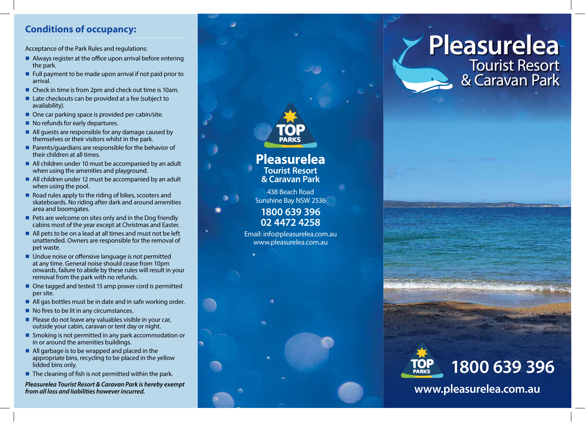## **Conditions of occupancy:**

Acceptance of the Park Rules and regulations:

- $\blacksquare$  Always register at the office upon arrival before entering the park.
- $\blacksquare$  Full payment to be made upon arrival if not paid prior to arrival.
- Check in time is from 2pm and check out time is 10am.
- $\blacksquare$  Late checkouts can be provided at a fee (subject to availability).
- $\blacksquare$  One car parking space is provided per cabin/site.
- $\blacksquare$  No refunds for early departures.
- $\blacksquare$  All guests are responsible for any damage caused by themselves or their visitors whilst in the park.
- $\blacksquare$  Parents/guardians are responsible for the behavior of their children at all times.
- $\blacksquare$  All children under 10 must be accompanied by an adult when using the amenities and playground.
- All children under 12 must be accompanied by an adult when using the pool.
- Road rules apply to the riding of bikes, scooters and skateboards. No riding after dark and around amenities area and boomgates.
- $\blacksquare$  Pets are welcome on sites only and in the Dog friendly cabins most of the year except at Christmas and Easter.
- $\blacksquare$  All pets to be on a lead at all times and must not be left unattended. Owners are responsible for the removal of pet waste.
- Undue noise or offensive language is not permitted at any time. General noise should cease from 10pm onwards, failure to abide by these rules will result in your removal from the park with no refunds.
- $\blacksquare$  One tagged and tested 15 amp power cord is permitted per site.
- $\blacksquare$  All gas bottles must be in date and in safe working order.
- $\blacksquare$  No fires to be lit in any circumstances.
- $\blacksquare$  Please do not leave any valuables visible in your car, outside your cabin, caravan or tent day or night.
- $\blacksquare$  Smoking is not permitted in any park accommodation or in or around the amenities buildings.
- $\blacksquare$  All garbage is to be wrapped and placed in the appropriate bins, recycling to be placed in the yellow lidded bins only.
- $\blacksquare$  The cleaning of fish is not permitted within the park.

*Pleasurelea Tourist Resort & Caravan Park is hereby exempt from all loss and liabilities however incurred.*



**Pleasurelea** Tourist Resort & Caravan Park



**www.pleasurelea.com.au**